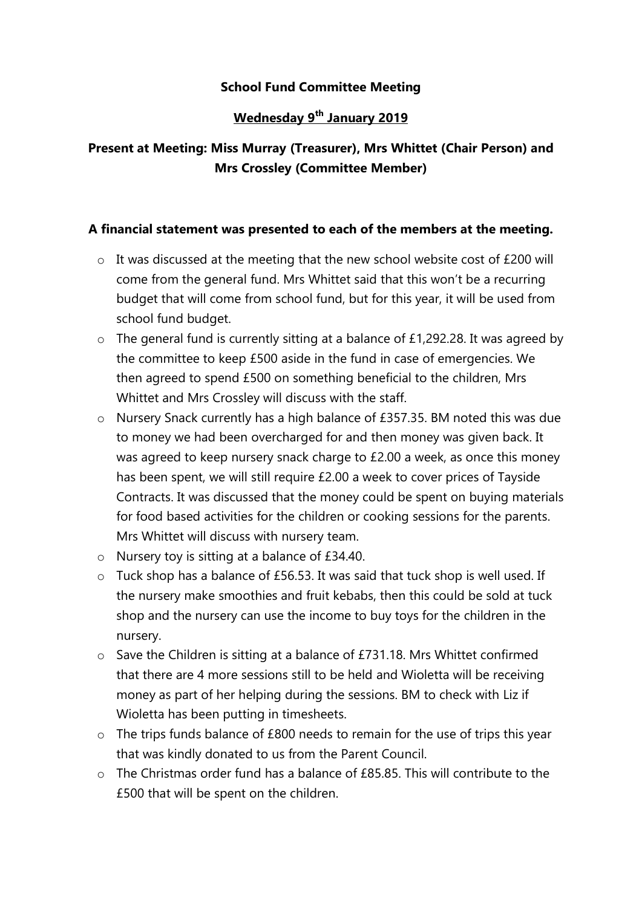### School Fund Committee Meeting

## Wednesday 9<sup>th</sup> January 2019

# Present at Meeting: Miss Murray (Treasurer), Mrs Whittet (Chair Person) and Mrs Crossley (Committee Member)

#### A financial statement was presented to each of the members at the meeting.

- $\circ$  It was discussed at the meeting that the new school website cost of £200 will come from the general fund. Mrs Whittet said that this won't be a recurring budget that will come from school fund, but for this year, it will be used from school fund budget.
- o The general fund is currently sitting at a balance of £1,292.28. It was agreed by the committee to keep £500 aside in the fund in case of emergencies. We then agreed to spend £500 on something beneficial to the children, Mrs Whittet and Mrs Crossley will discuss with the staff.
- o Nursery Snack currently has a high balance of £357.35. BM noted this was due to money we had been overcharged for and then money was given back. It was agreed to keep nursery snack charge to £2.00 a week, as once this money has been spent, we will still require £2.00 a week to cover prices of Tayside Contracts. It was discussed that the money could be spent on buying materials for food based activities for the children or cooking sessions for the parents. Mrs Whittet will discuss with nursery team.
- o Nursery toy is sitting at a balance of £34.40.
- o Tuck shop has a balance of £56.53. It was said that tuck shop is well used. If the nursery make smoothies and fruit kebabs, then this could be sold at tuck shop and the nursery can use the income to buy toys for the children in the nursery.
- o Save the Children is sitting at a balance of £731.18. Mrs Whittet confirmed that there are 4 more sessions still to be held and Wioletta will be receiving money as part of her helping during the sessions. BM to check with Liz if Wioletta has been putting in timesheets.
- $\circ$  The trips funds balance of £800 needs to remain for the use of trips this year that was kindly donated to us from the Parent Council.
- $\circ$  The Christmas order fund has a balance of  $f85.85$ . This will contribute to the £500 that will be spent on the children.